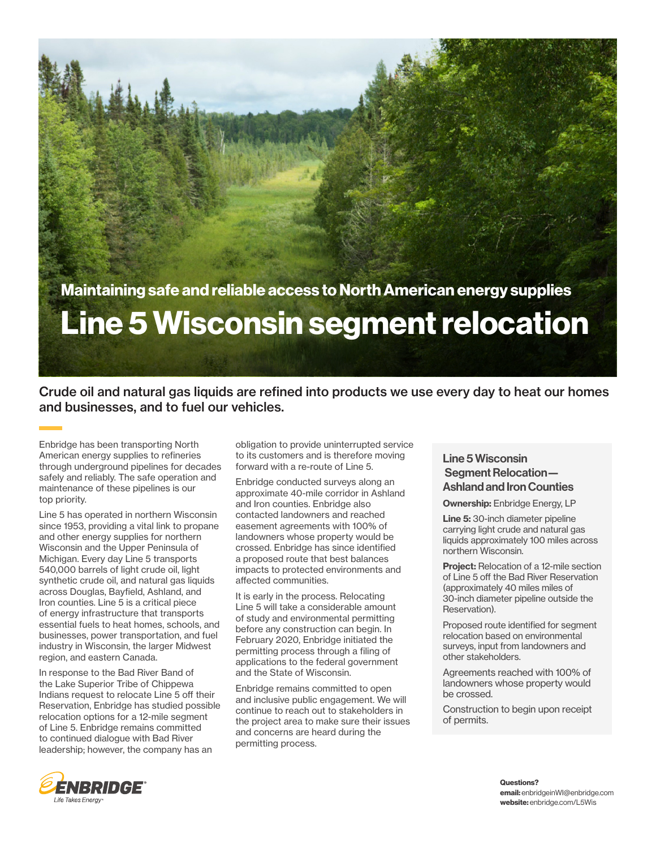

Crude oil and natural gas liquids are refined into products we use every day to heat our homes and businesses, and to fuel our vehicles.

Enbridge has been transporting North American energy supplies to refineries through underground pipelines for decades safely and reliably. The safe operation and maintenance of these pipelines is our top priority.

Line 5 has operated in northern Wisconsin since 1953, providing a vital link to propane and other energy supplies for northern Wisconsin and the Upper Peninsula of Michigan. Every day Line 5 transports 540,000 barrels of light crude oil, light synthetic crude oil, and natural gas liquids across Douglas, Bayfield, Ashland, and Iron counties. Line 5 is a critical piece of energy infrastructure that transports essential fuels to heat homes, schools, and businesses, power transportation, and fuel industry in Wisconsin, the larger Midwest region, and eastern Canada.

In response to the Bad River Band of the Lake Superior Tribe of Chippewa Indians request to relocate Line 5 off their Reservation, Enbridge has studied possible relocation options for a 12-mile segment of Line 5. Enbridge remains committed to continued dialogue with Bad River leadership; however, the company has an

obligation to provide uninterrupted service to its customers and is therefore moving forward with a re-route of Line 5.

Enbridge conducted surveys along an approximate 40-mile corridor in Ashland and Iron counties. Enbridge also contacted landowners and reached easement agreements with 100% of landowners whose property would be crossed. Enbridge has since identified a proposed route that best balances impacts to protected environments and affected communities.

It is early in the process. Relocating Line 5 will take a considerable amount of study and environmental permitting before any construction can begin. In February 2020, Enbridge initiated the permitting process through a filing of applications to the federal government and the State of Wisconsin.

Enbridge remains committed to open and inclusive public engagement. We will continue to reach out to stakeholders in the project area to make sure their issues and concerns are heard during the permitting process.

## Line 5 Wisconsin Segment Relocation-Ashland and Iron Counties

Ownership: Enbridge Energy, LP

Line 5: 30-inch diameter pipeline carrying light crude and natural gas liquids approximately 100 miles across northern Wisconsin.

**Project:** Relocation of a 12-mile section of Line 5 off the Bad River Reservation (approximately 40 miles miles of 30-inch diameter pipeline outside the Reservation).

Proposed route identified for segment relocation based on environmental surveys, input from landowners and other stakeholders.

Agreements reached with 100% of landowners whose property would be crossed.

Construction to begin upon receipt of permits.



Questions? email: enbridgeinWI@enbridge.com website: enbridge.com/L5Wis